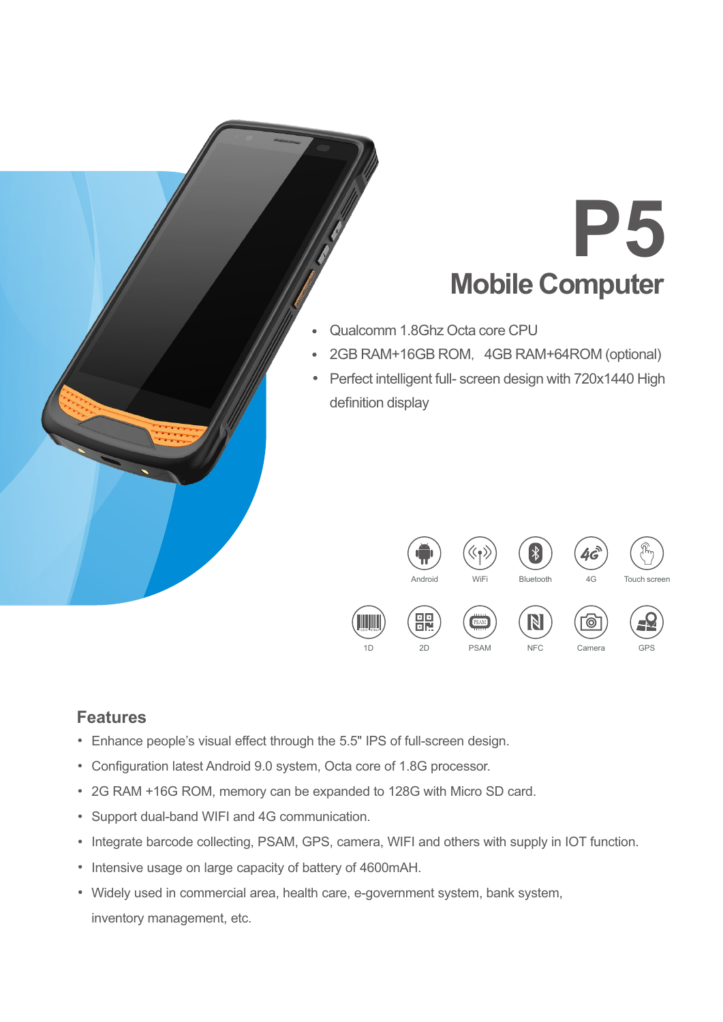# **P5 Mobile Computer**

- Qualcomm 1.8Ghz Octa core CPU
- 2GB RAM+16GB ROM, 4GB RAM+64ROM (optional)
- Perfect intelligent full- screen design with 720x1440 High definition display



### **Features**

- Enhance people's visual effect through the 5.5" IPS of full-screen design.
- Configuration latest Android 9.0 system, Octa core of 1.8G processor.
- 2G RAM +16G ROM, memory can be expanded to 128G with Micro SD card.
- Support dual-band WIFI and 4G communication.
- Integrate barcode collecting, PSAM, GPS, camera, WIFI and others with supply in IOT function.
- Intensive usage on large capacity of battery of 4600mAH.
- Widely used in commercial area, health care, e-government system, bank system, inventory management, etc.